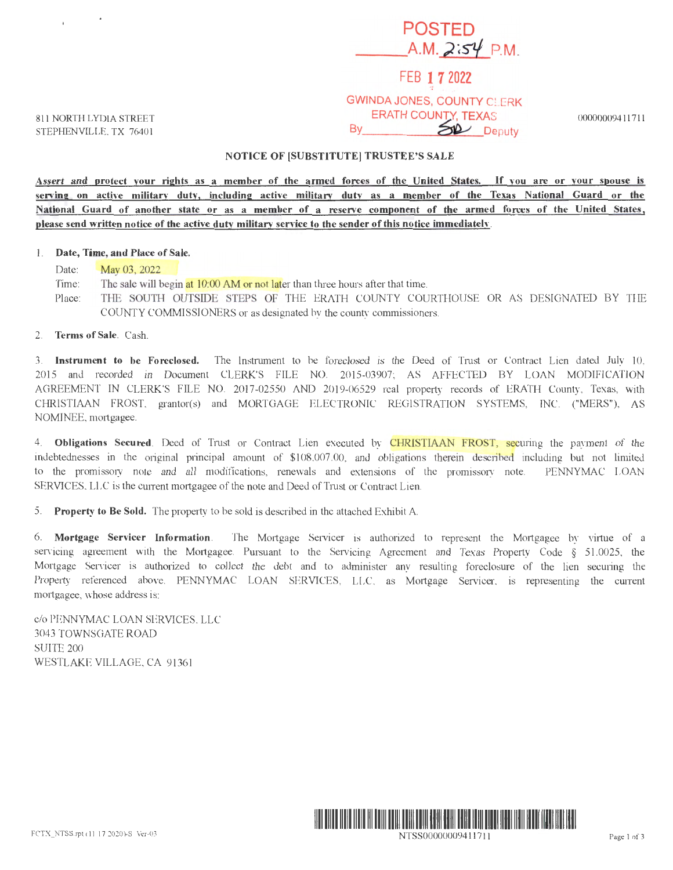# **POSTED**  \_\_ A.M. *)~S'lf* P.M. FEB **1 7** 2022 GWINDA JONES, COUNTY CLERK ERATH COUNTY, TEXAS

SP Deputy

811 NORTH LYDIA STREET STEPHENVILLE, TX 76401

## **NOTICE OF (SUBSTITUTE] TRUSTEE'S SALE**

By

**Assert and protect your rights as a member of the armed forces of the United States.** If **you are or your spouse is serving on active military duty, including active military duty as a member of the Texas National Guard or the National Guard of another state or as a member of a reserve component of the armed forces of the United States** <sup>1</sup> **please send written notice of the active duty military service to the sender of this notice immediately.** 

#### 1. **Date, Time, and Place of Sale.**

Date: **May 03, 2022** Time: The sale will begin at 10:00 AM or not later than three hours after that time. Place: THE SOUTH OUTSIDE STEPS OF THE ERATH COUNTY COURTHOUSE OR AS DESIGNATED BY THE COUNTY COMMISSIONERS or as designated by the county commissioners.

### 2. **Terms of Sale.** Cash.

3. **Instrument to be Foreclosed.** The Instrument to be foreclosed is the Deed of Tmst or Contract Lien dated July 10, 2015 and recorded in Document CLERK'S FILE NO. 2015-03907; AS AFFECTED BY LOAN MODIFICATION AGREEMENT IN CLERK'S FILE NO. 2017-02550 AND 2019-06529 real property records of ERATH County, Texas, with CHRISTIAAN FROST, grantor(s) and MORTGAGE ELECTRONIC REGISTRATION SYSTEMS, INC. ("MERS"), AS NOMINEE, mortgagee.

4. **Obligations Secured**. Deed of Trust or Contract Lien executed by CHRISTIAAN FROST, securing the payment of the indebtednesses in the original principal amount of \$108,007.00, and obligations therein described including but not limited to the promissory note and all modifications, renewals and extensions of the promissory note. PENNYMAC LOAN SERVICES, LLC is the current mortgagee of the note and Deed of Trust or Contract Lien.

5. **Property to Be Sold.** The property to be sold is described in the attached Exhibit A

6. **Mortgage Servicer Information .** The Mortgage Servicer is authorized to represent the Mortgagee by virtue of a servicing agreement with the Mortgagee. Pursuant to the Servicing Agreement and Texas Property Code  $\S$  51.0025, the Mortgage Servicer is authorized to collect the debt and to administer any resulting foreclosure of the lien securing the Property referenced above. PENNYMAC LOAN SERVICES, LLC, as Mortgage Servicer, is representing the current mortgagee, whose address is:

c/o PENNYMAC LOAN SERVICES, LLC 3043 TOWNSGATE ROAD SUITE 200 WESTLAKE VILLAGE, CA 91361



NTSS00000009411711 Page 1 of 3

00000009411711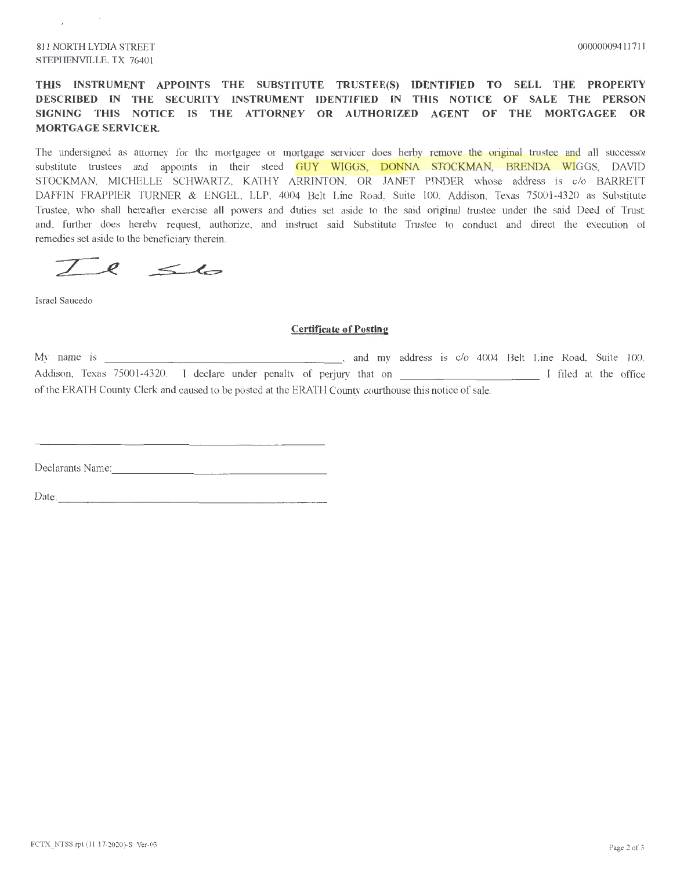#### 811 NORTH LYDIA STREET STEPHENVILLE, TX 76401

## **THIS INSTRUMENT APPOINTS THE SUBSTITUTE TRUSTEE(S) IDENTIFIED TO SELL THE PROPERTY DESCRIBED IN THE SECURITY INSTRUMENT IDENTIFIED IN THIS NOTICE OF SALE THE PERSON SIGNING THIS NOTICE IS THE ATTORNEY OR AUTHORIZED AGENT OF THE MORTGAGEE OR MORTGAGE SERVICER.**

The undersigned as attorney for the mortgagee or mortgage servicer does herby remove the original trustee and all successor substitute trustees and appoints in their steed GUY WIGGS, DONNA STOCKMAN, BRENDA WIGGS, DAVID STOCKMAN, MICHELLE SCHWARTZ, KATHY ARRINTON, OR JANET PINDER whose address is c/o BARRETT DAFFIN FRAPPIER TURNER & ENGEL, LLP, 4004 Belt Line Road, Suite 100, Addison, Texas 75001-4320 as Substitute Trustee, who shall hereafter exercise all powers and duties set aside to the said original trustee under the said Deed of Trust; and, further does hereby request, authorize, and instmct said Substitute Trustee to conduct and direct the execution of remedies set aside to the beneficiary therein.

 $7e$   $6$ 

Israel Saucedo

#### **Certificate of Posting**

My name is \_\_\_\_\_\_\_\_\_\_\_\_\_\_\_\_\_\_\_\_\_\_\_\_\_\_\_\_\_\_\_\_\_\_, and my address is c/o 4004 Belt Line Road, Suite 100, Addison, Texas 75001-4320. I declare under penalty of perjury that on I contain the office of the ERATH County Clerk and caused to be posted at the ERATH County courthouse this notice of sale.

Declarants Name: \_\_\_\_\_\_\_\_\_\_\_\_\_\_\_\_ \_

Date: ---------------------